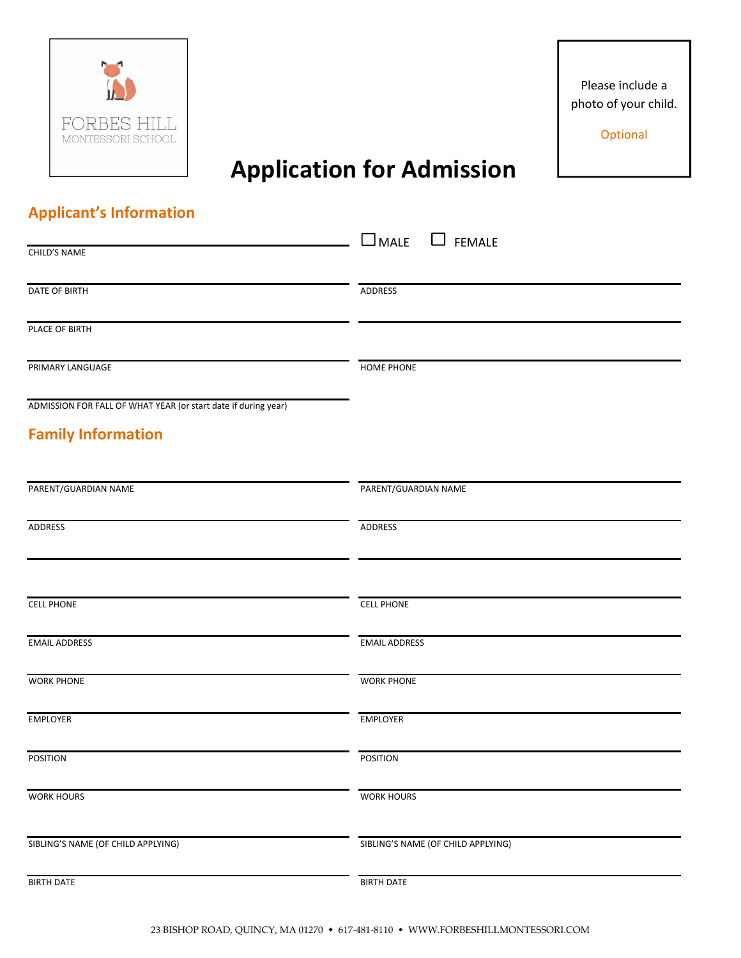

Please include a photo of your child.

**Optional** 

## Application for Admission

## Applicant's Information

| CHILD'S NAME                                                   | $\Box$ MALE<br>FEMALE              |
|----------------------------------------------------------------|------------------------------------|
|                                                                |                                    |
| DATE OF BIRTH                                                  | ADDRESS                            |
| PLACE OF BIRTH                                                 |                                    |
| PRIMARY LANGUAGE                                               | <b>HOME PHONE</b>                  |
| ADMISSION FOR FALL OF WHAT YEAR (or start date if during year) |                                    |
| <b>Family Information</b>                                      |                                    |
| PARENT/GUARDIAN NAME                                           | PARENT/GUARDIAN NAME               |
| ADDRESS                                                        | <b>ADDRESS</b>                     |
|                                                                |                                    |
| <b>CELL PHONE</b>                                              | <b>CELL PHONE</b>                  |
| <b>EMAIL ADDRESS</b>                                           | <b>EMAIL ADDRESS</b>               |
| <b>WORK PHONE</b>                                              | <b>WORK PHONE</b>                  |
| EMPLOYER                                                       | EMPLOYER                           |
| <b>POSITION</b>                                                | <b>POSITION</b>                    |
| <b>WORK HOURS</b>                                              | <b>WORK HOURS</b>                  |
| SIBLING'S NAME (OF CHILD APPLYING)                             | SIBLING'S NAME (OF CHILD APPLYING) |
| <b>BIRTH DATE</b>                                              | <b>BIRTH DATE</b>                  |